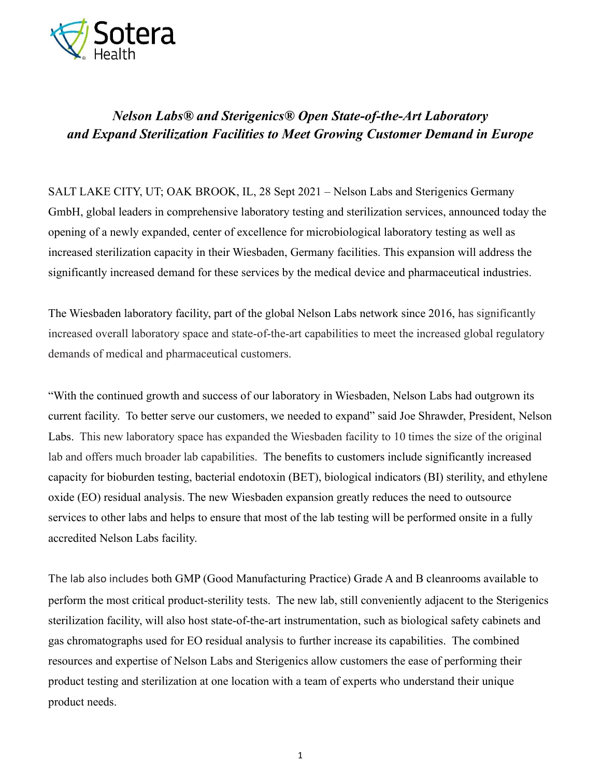

# *Nelson Labs® and Sterigenics® Open State-of-the-Art Laboratory and Expand Sterilization Facilities to Meet Growing Customer Demand in Europe*

SALT LAKE CITY, UT; OAK BROOK, IL, 28 Sept 2021 – Nelson Labs and Sterigenics Germany GmbH, global leaders in comprehensive laboratory testing and sterilization services, announced today the opening of a newly expanded, center of excellence for microbiological laboratory testing as well as increased sterilization capacity in their Wiesbaden, Germany facilities. This expansion will address the significantly increased demand for these services by the medical device and pharmaceutical industries.

The Wiesbaden laboratory facility, part of the global Nelson Labs network since 2016, has significantly increased overall laboratory space and state-of-the-art capabilities to meet the increased global regulatory demands of medical and pharmaceutical customers.

"With the continued growth and success of our laboratory in Wiesbaden, Nelson Labs had outgrown its current facility. To better serve our customers, we needed to expand" said Joe Shrawder, President, Nelson Labs. This new laboratory space has expanded the Wiesbaden facility to 10 times the size of the original lab and offers much broader lab capabilities. The benefits to customers include significantly increased capacity for bioburden testing, bacterial endotoxin (BET), biological indicators (BI) sterility, and ethylene oxide (EO) residual analysis. The new Wiesbaden expansion greatly reduces the need to outsource services to other labs and helps to ensure that most of the lab testing will be performed onsite in a fully accredited Nelson Labs facility.

The lab also includes both GMP (Good Manufacturing Practice) Grade A and B cleanrooms available to perform the most critical product-sterility tests. The new lab, still conveniently adjacent to the Sterigenics sterilization facility, will also host state-of-the-art instrumentation, such as biological safety cabinets and gas chromatographs used for EO residual analysis to further increase its capabilities. The combined resources and expertise of Nelson Labs and Sterigenics allow customers the ease of performing their product testing and sterilization at one location with a team of experts who understand their unique product needs.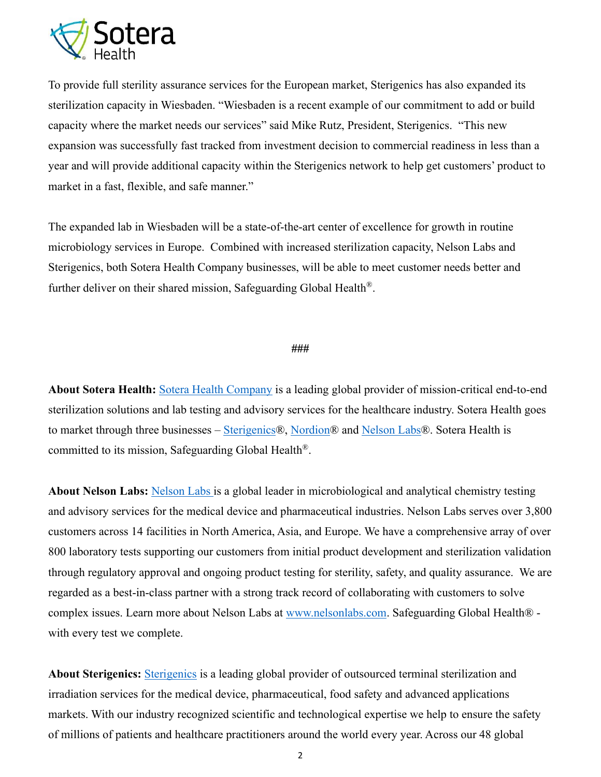

To provide full sterility assurance services for the European market, Sterigenics has also expanded its sterilization capacity in Wiesbaden. "Wiesbaden is a recent example of our commitment to add or build capacity where the market needs our services" said Mike Rutz, President, Sterigenics. "This new expansion was successfully fast tracked from investment decision to commercial readiness in less than a year and will provide additional capacity within the Sterigenics network to help get customers' product to market in a fast, flexible, and safe manner."

The expanded lab in Wiesbaden will be a state-of-the-art center of excellence for growth in routine microbiology services in Europe. Combined with increased sterilization capacity, Nelson Labs and Sterigenics, both Sotera Health Company businesses, will be able to meet customer needs better and further deliver on their shared mission, Safeguarding Global Health®.

#### **###**

**About Sotera Health:** [Sotera Health Company](http://www.soterahealth.com/) is a leading global provider of mission-critical end-to-end sterilization solutions and lab testing and advisory services for the healthcare industry. Sotera Health goes to market through three businesses – [Sterigenics®](file:///C:/Users/aecasson/Documents/sterigenics.com), [Nordion®](file:///C:/Users/aecasson/Documents/Nordion.com) and [Nelson Labs®](file:///C:/Users/aecasson/Documents/nelsonlabs.com). Sotera Health is committed to its mission, Safeguarding Global Health®.

**About Nelson Labs:** [Nelson Labs](http://www.nelsonlabs.com/) is a global leader in microbiological and analytical chemistry testing and advisory services for the medical device and pharmaceutical industries. Nelson Labs serves over 3,800 customers across 14 facilities in North America, Asia, and Europe. We have a comprehensive array of over 800 laboratory tests supporting our customers from initial product development and sterilization validation through regulatory approval and ongoing product testing for sterility, safety, and quality assurance. We are regarded as a best-in-class partner with a strong track record of collaborating with customers to solve complex issues. Learn more about Nelson Labs at [www.nelsonlabs.com.](http://www.nelsonlabs.com/) Safeguarding Global Health® with every test we complete.

**About Sterigenics:** [Sterigenics](http://www.sterigenics.com/) is a leading global provider of outsourced terminal sterilization and irradiation services for the medical device, pharmaceutical, food safety and advanced applications markets. With our industry recognized scientific and technological expertise we help to ensure the safety of millions of patients and healthcare practitioners around the world every year. Across our 48 global